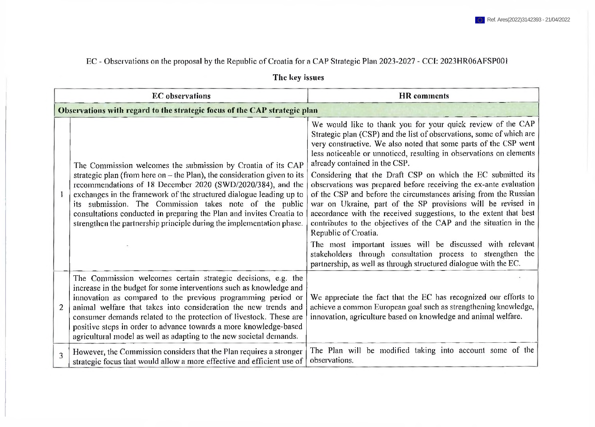## EC - Observations on the proposal by the Republic of Croatia for a CAP Strategic Plan 2023-2027 - CCI: 2023HR06AFSP001

| The key issues |  |
|----------------|--|
|----------------|--|

|                | <b>EC</b> observations                                                                                                                                                                                                                                                                                                                                                                                                                                                                       | <b>HR</b> comments                                                                                                                                                                                                                                                                                                                                                                                                                                                                                                                                                                                                                                                                                                                                                                                                      |
|----------------|----------------------------------------------------------------------------------------------------------------------------------------------------------------------------------------------------------------------------------------------------------------------------------------------------------------------------------------------------------------------------------------------------------------------------------------------------------------------------------------------|-------------------------------------------------------------------------------------------------------------------------------------------------------------------------------------------------------------------------------------------------------------------------------------------------------------------------------------------------------------------------------------------------------------------------------------------------------------------------------------------------------------------------------------------------------------------------------------------------------------------------------------------------------------------------------------------------------------------------------------------------------------------------------------------------------------------------|
|                | Observations with regard to the strategic focus of the CAP strategic plan                                                                                                                                                                                                                                                                                                                                                                                                                    |                                                                                                                                                                                                                                                                                                                                                                                                                                                                                                                                                                                                                                                                                                                                                                                                                         |
|                | The Commission welcomes the submission by Croatia of its CAP<br>strategic plan (from here on $-$ the Plan), the consideration given to its<br>recommendations of 18 December 2020 (SWD/2020/384), and the<br>exchanges in the framework of the structured dialogue leading up to<br>its submission. The Commission takes note of the public<br>consultations conducted in preparing the Plan and invites Croatia to<br>strengthen the partnership principle during the implementation phase. | We would like to thank you for your quick review of the CAP<br>Strategic plan (CSP) and the list of observations, some of which are<br>very constructive. We also noted that some parts of the CSP went<br>less noticeable or unnoticed, resulting in observations on elements<br>already contained in the CSP.<br>Considering that the Draft CSP on which the EC submitted its<br>observations was prepared before receiving the ex-ante evaluation<br>of the CSP and before the circumstances arising from the Russian<br>war on Ukraine, part of the SP provisions will be revised in<br>accordance with the received suggestions, to the extent that best<br>contributes to the objectives of the CAP and the situation in the<br>Republic of Croatia.<br>The most important issues will be discussed with relevant |
|                |                                                                                                                                                                                                                                                                                                                                                                                                                                                                                              | stakeholders through consultation process to strengthen the<br>partnership, as well as through structured dialogue with the EC.                                                                                                                                                                                                                                                                                                                                                                                                                                                                                                                                                                                                                                                                                         |
| $\overline{2}$ | The Commission welcomes certain strategic decisions, e.g. the<br>increase in the budget for some interventions such as knowledge and<br>innovation as compared to the previous programming period or<br>animal welfare that takes into consideration the new trends and<br>consumer demands related to the protection of livestock. These are<br>positive steps in order to advance towards a more knowledge-based<br>agricultural model as well as adapting to the new societal demands.    | We appreciate the fact that the EC has recognized our efforts to<br>achieve a common European goal such as strengthening knowledge,<br>innovation, agriculture based on knowledge and animal welfare.                                                                                                                                                                                                                                                                                                                                                                                                                                                                                                                                                                                                                   |
| 3              | However, the Commission considers that the Plan requires a stronger<br>strategic focus that would allow a more effective and efficient use of                                                                                                                                                                                                                                                                                                                                                | The Plan will be modified taking into account some of the<br>observations.                                                                                                                                                                                                                                                                                                                                                                                                                                                                                                                                                                                                                                                                                                                                              |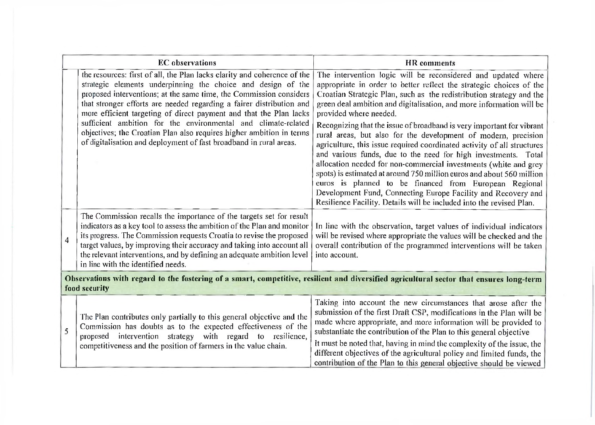|                | <b>EC</b> observations                                                                                                                                                                                                                                                                                                                                                                                                                                                                                                                                                      | <b>HR</b> comments                                                                                                                                                                                                                                                                                                                                                                                                                                                                                                                                                                                                                                                                                                                                                                                                                                                                                                                                     |  |
|----------------|-----------------------------------------------------------------------------------------------------------------------------------------------------------------------------------------------------------------------------------------------------------------------------------------------------------------------------------------------------------------------------------------------------------------------------------------------------------------------------------------------------------------------------------------------------------------------------|--------------------------------------------------------------------------------------------------------------------------------------------------------------------------------------------------------------------------------------------------------------------------------------------------------------------------------------------------------------------------------------------------------------------------------------------------------------------------------------------------------------------------------------------------------------------------------------------------------------------------------------------------------------------------------------------------------------------------------------------------------------------------------------------------------------------------------------------------------------------------------------------------------------------------------------------------------|--|
|                | the resources: first of all, the Plan lacks clarity and coherence of the<br>strategic elements underpinning the choice and design of the<br>proposed interventions; at the same time, the Commission considers<br>that stronger efforts are needed regarding a fairer distribution and<br>more efficient targeting of direct payment and that the Plan lacks<br>sufficient ambition for the environmental and climate-related<br>objectives; the Croatian Plan also requires higher ambition in terms<br>of digitalisation and deployment of fast broadband in rural areas. | The intervention logic will be reconsidered and updated where<br>appropriate in order to better reflect the strategic choices of the<br>Croatian Strategic Plan, such as the redistribution strategy and the<br>green deal ambition and digitalisation, and more information will be<br>provided where needed.<br>Recognizing that the issue of broadband is very important for vibrant<br>rural areas, but also for the development of modern, precision<br>agriculture, this issue required coordinated activity of all structures<br>and various funds, due to the need for high investments. Total<br>allocation needed for non-commercial investments (white and grey<br>spots) is estimated at around 750 million euros and about 560 million<br>euros is planned to be financed from European Regional<br>Development Fund, Connecting Europe Facility and Recovery and<br>Resilience Facility. Details will be included into the revised Plan. |  |
| $\overline{4}$ | The Commission recalls the importance of the targets set for result<br>indicators as a key tool to assess the ambition of the Plan and monitor<br>its progress. The Commission requests Croatia to revise the proposed<br>target values, by improving their accuracy and taking into account all<br>the relevant interventions, and by defining an adequate ambition level<br>in line with the identified needs.                                                                                                                                                            | In line with the observation, target values of individual indicators<br>will be revised where appropriate the values will be checked and the<br>overall contribution of the programmed interventions will be taken<br>into account.                                                                                                                                                                                                                                                                                                                                                                                                                                                                                                                                                                                                                                                                                                                    |  |
|                | Observations with regard to the fostering of a smart, competitive, resilient and diversified agricultural sector that ensures long-term<br>food security                                                                                                                                                                                                                                                                                                                                                                                                                    |                                                                                                                                                                                                                                                                                                                                                                                                                                                                                                                                                                                                                                                                                                                                                                                                                                                                                                                                                        |  |
| 5              | The Plan contributes only partially to this general objective and the<br>Commission has doubts as to the expected effectiveness of the<br>proposed intervention strategy with regard to resilience,<br>competitiveness and the position of farmers in the value chain.                                                                                                                                                                                                                                                                                                      | Taking into account the new circumstances that arose after the<br>submission of the first Draft CSP, modifications in the Plan will be<br>made where appropriate, and more information will be provided to<br>substantiate the contribution of the Plan to this general objective<br>It must be noted that, having in mind the complexity of the issue, the<br>different objectives of the agricultural policy and limited funds, the<br>contribution of the Plan to this general objective should be viewed                                                                                                                                                                                                                                                                                                                                                                                                                                           |  |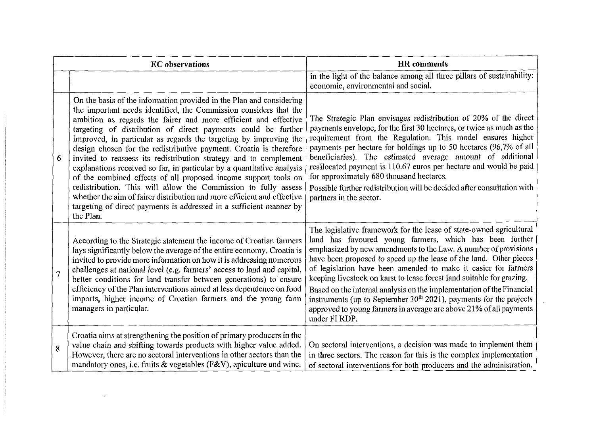| <b>EC</b> observations |                                                                                                                                                                                                                                                                                                                                                                                                                                                                                                                                                                                                                                                                                                                                                                                                                                                                             | <b>HR</b> comments                                                                                                                                                                                                                                                                                                                                                                                                                                                                                                                                                                                                                                         |
|------------------------|-----------------------------------------------------------------------------------------------------------------------------------------------------------------------------------------------------------------------------------------------------------------------------------------------------------------------------------------------------------------------------------------------------------------------------------------------------------------------------------------------------------------------------------------------------------------------------------------------------------------------------------------------------------------------------------------------------------------------------------------------------------------------------------------------------------------------------------------------------------------------------|------------------------------------------------------------------------------------------------------------------------------------------------------------------------------------------------------------------------------------------------------------------------------------------------------------------------------------------------------------------------------------------------------------------------------------------------------------------------------------------------------------------------------------------------------------------------------------------------------------------------------------------------------------|
|                        |                                                                                                                                                                                                                                                                                                                                                                                                                                                                                                                                                                                                                                                                                                                                                                                                                                                                             | in the light of the balance among all three pillars of sustainability:<br>economic, environmental and social.                                                                                                                                                                                                                                                                                                                                                                                                                                                                                                                                              |
| 6                      | On the basis of the information provided in the Plan and considering<br>the important needs identified, the Commission considers that the<br>ambition as regards the fairer and more efficient and effective<br>targeting of distribution of direct payments could be further<br>improved, in particular as regards the targeting by improving the<br>design chosen for the redistributive payment. Croatia is therefore<br>invited to reassess its redistribution strategy and to complement<br>explanations received so far, in particular by a quantitative analysis<br>of the combined effects of all proposed income support tools on<br>redistribution. This will allow the Commission to fully assess<br>whether the aim of fairer distribution and more efficient and effective<br>targeting of direct payments is addressed in a sufficient manner by<br>the Plan. | The Strategic Plan envisages redistribution of 20% of the direct<br>payments envelope, for the first 30 hectares, or twice as much as the<br>requirement from the Regulation. This model ensures higher<br>payments per hectare for holdings up to 50 hectares (96,7% of all<br>beneficiaries). The estimated average amount of additional<br>reallocated payment is 110.67 euros per hectare and would be paid<br>for approximately 680 thousand hectares.<br>Possible further redistribution will be decided after consultation with<br>partners in the sector.                                                                                          |
| $\overline{7}$         | According to the Strategic statement the income of Croatian farmers<br>lays significantly below the average of the entire economy. Croatia is<br>invited to provide more information on how it is addressing numerous<br>challenges at national level (e.g. farmers' access to land and capital,<br>better conditions for land transfer between generations) to ensure<br>efficiency of the Plan interventions aimed at less dependence on food<br>imports, higher income of Croatian farmers and the young farm<br>managers in particular.                                                                                                                                                                                                                                                                                                                                 | The legislative framework for the lease of state-owned agricultural<br>land has favoured young farmers, which has been further<br>emphasized by new amendments to the Law. A number of provisions<br>have been proposed to speed up the lease of the land. Other pieces<br>of legislation have been amended to make it easier for farmers<br>keeping livestock on karst to lease forest land suitable for grazing.<br>Based on the internal analysis on the implementation of the Financial<br>instruments (up to September $30th$ 2021), payments for the projects<br>approved to young farmers in average are above 21% of all payments<br>under FI RDP. |
| 8                      | Croatia aims at strengthening the position of primary producers in the<br>value chain and shifting towards products with higher value added.<br>However, there are no sectoral interventions in other sectors than the<br>mandatory ones, i.e. fruits $\&$ vegetables (F&V), apiculture and wine.                                                                                                                                                                                                                                                                                                                                                                                                                                                                                                                                                                           | On sectoral interventions, a decision was made to implement them<br>in three sectors. The reason for this is the complex implementation<br>of sectoral interventions for both producers and the administration.                                                                                                                                                                                                                                                                                                                                                                                                                                            |

 $\label{eq:2.1} \frac{1}{\sqrt{2}}\int_{\mathbb{R}^3}\frac{1}{\sqrt{2}}\left(\frac{1}{\sqrt{2}}\right)^2\frac{1}{\sqrt{2}}\left(\frac{1}{\sqrt{2}}\right)^2\frac{1}{\sqrt{2}}\left(\frac{1}{\sqrt{2}}\right)^2\frac{1}{\sqrt{2}}\left(\frac{1}{\sqrt{2}}\right)^2\frac{1}{\sqrt{2}}\left(\frac{1}{\sqrt{2}}\right)^2\frac{1}{\sqrt{2}}\frac{1}{\sqrt{2}}\frac{1}{\sqrt{2}}\frac{1}{\sqrt{2}}\frac{1}{\sqrt{2}}\frac{1}{\sqrt{2}}$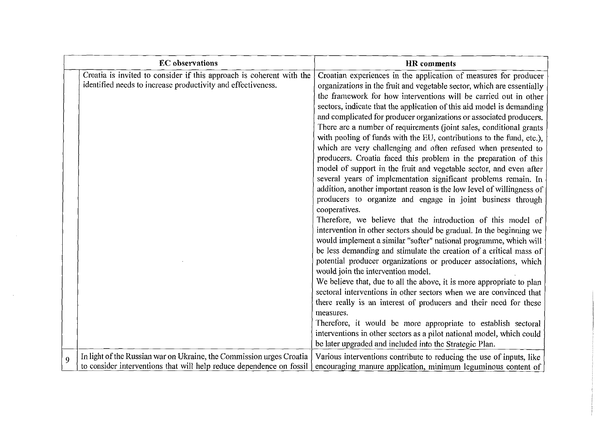|   | <b>EC</b> observations                                                                                                                       | <b>HR</b> comments                                                                                                                                                                                                                                                                                                                                                                                                                                                                                                                                                                                                                                                                                                                                                                                                                                                                                                                                                                                                                                                                                                                                                                                                                                                                                                                                                                                                                                                                                                                                                                                                                                                                                                           |
|---|----------------------------------------------------------------------------------------------------------------------------------------------|------------------------------------------------------------------------------------------------------------------------------------------------------------------------------------------------------------------------------------------------------------------------------------------------------------------------------------------------------------------------------------------------------------------------------------------------------------------------------------------------------------------------------------------------------------------------------------------------------------------------------------------------------------------------------------------------------------------------------------------------------------------------------------------------------------------------------------------------------------------------------------------------------------------------------------------------------------------------------------------------------------------------------------------------------------------------------------------------------------------------------------------------------------------------------------------------------------------------------------------------------------------------------------------------------------------------------------------------------------------------------------------------------------------------------------------------------------------------------------------------------------------------------------------------------------------------------------------------------------------------------------------------------------------------------------------------------------------------------|
|   | Croatia is invited to consider if this approach is coherent with the<br>identified needs to increase productivity and effectiveness.         | Croatian experiences in the application of measures for producer<br>organizations in the fruit and vegetable sector, which are essentially<br>the framework for how interventions will be carried out in other<br>sectors, indicate that the application of this aid model is demanding<br>and complicated for producer organizations or associated producers.<br>There are a number of requirements (joint sales, conditional grants<br>with pooling of funds with the EU, contributions to the fund, etc.),<br>which are very challenging and often refused when presented to<br>producers. Croatia faced this problem in the preparation of this<br>model of support in the fruit and vegetable sector, and even after<br>several years of implementation significant problems remain. In<br>addition, another important reason is the low level of willingness of<br>producers to organize and engage in joint business through<br>cooperatives.<br>Therefore, we believe that the introduction of this model of<br>intervention in other sectors should be gradual. In the beginning we<br>would implement a similar "softer" national programme, which will<br>be less demanding and stimulate the creation of a critical mass of<br>potential producer organizations or producer associations, which<br>would join the intervention model.<br>We believe that, due to all the above, it is more appropriate to plan<br>sectoral interventions in other sectors when we are convinced that<br>there really is an interest of producers and their need for these<br>measures.<br>Therefore, it would be more appropriate to establish sectoral<br>interventions in other sectors as a pilot national model, which could |
|   |                                                                                                                                              | be later upgraded and included into the Strategic Plan.                                                                                                                                                                                                                                                                                                                                                                                                                                                                                                                                                                                                                                                                                                                                                                                                                                                                                                                                                                                                                                                                                                                                                                                                                                                                                                                                                                                                                                                                                                                                                                                                                                                                      |
| 9 | In light of the Russian war on Ukraine, the Commission urges Croatia<br>to consider interventions that will help reduce dependence on fossil | Various interventions contribute to reducing the use of inputs, like<br>encouraging manure application, minimum leguminous content of                                                                                                                                                                                                                                                                                                                                                                                                                                                                                                                                                                                                                                                                                                                                                                                                                                                                                                                                                                                                                                                                                                                                                                                                                                                                                                                                                                                                                                                                                                                                                                                        |

 $\mathcal{L}^{\text{max}}_{\text{max}}$ 

 $\label{eq:2.1} \frac{1}{\sqrt{2}}\left(\frac{1}{\sqrt{2}}\right)^{2} \left(\frac{1}{\sqrt{2}}\right)^{2} \left(\frac{1}{\sqrt{2}}\right)^{2} \left(\frac{1}{\sqrt{2}}\right)^{2} \left(\frac{1}{\sqrt{2}}\right)^{2} \left(\frac{1}{\sqrt{2}}\right)^{2} \left(\frac{1}{\sqrt{2}}\right)^{2} \left(\frac{1}{\sqrt{2}}\right)^{2} \left(\frac{1}{\sqrt{2}}\right)^{2} \left(\frac{1}{\sqrt{2}}\right)^{2} \left(\frac{1}{\sqrt{2}}\right)^{2} \left(\$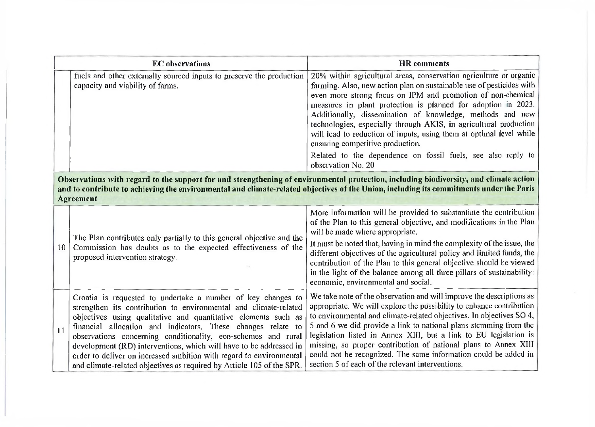|    | <b>EC</b> observations                                                                                                                                                                                                                                                                                                                                                                                                                                                                                                                                    | <b>HR</b> comments                                                                                                                                                                                                                                                                                                                                                                                                                                                                                                                                       |
|----|-----------------------------------------------------------------------------------------------------------------------------------------------------------------------------------------------------------------------------------------------------------------------------------------------------------------------------------------------------------------------------------------------------------------------------------------------------------------------------------------------------------------------------------------------------------|----------------------------------------------------------------------------------------------------------------------------------------------------------------------------------------------------------------------------------------------------------------------------------------------------------------------------------------------------------------------------------------------------------------------------------------------------------------------------------------------------------------------------------------------------------|
|    | fuels and other externally sourced inputs to preserve the production<br>capacity and viability of farms.                                                                                                                                                                                                                                                                                                                                                                                                                                                  | 20% within agricultural areas, conservation agriculture or organic<br>farming. Also, new action plan on sustainable use of pesticides with<br>even more strong focus on IPM and promotion of non-chemical<br>measures in plant protection is planned for adoption in 2023.<br>Additionally, dissemination of knowledge, methods and new<br>technologies, especially through AKIS, in agricultural production<br>will lead to reduction of inputs, using them at optimal level while<br>ensuring competitive production.                                  |
|    |                                                                                                                                                                                                                                                                                                                                                                                                                                                                                                                                                           | Related to the dependence on fossil fuels, see also reply to<br>observation No. 20                                                                                                                                                                                                                                                                                                                                                                                                                                                                       |
|    | Observations with regard to the support for and strengthening of environmental protection, including biodiversity, and climate action<br>and to contribute to achieving the environmental and climate-related objectives of the Union, including its commitments under the Paris<br><b>Agreement</b>                                                                                                                                                                                                                                                      |                                                                                                                                                                                                                                                                                                                                                                                                                                                                                                                                                          |
| 10 | The Plan contributes only partially to this general objective and the<br>Commission has doubts as to the expected effectiveness of the<br>proposed intervention strategy.                                                                                                                                                                                                                                                                                                                                                                                 | More information will be provided to substantiate the contribution<br>of the Plan to this general objective, and modifications in the Plan<br>will be made where appropriate.<br>It must be noted that, having in mind the complexity of the issue, the<br>different objectives of the agricultural policy and limited funds, the<br>contribution of the Plan to this general objective should be viewed<br>in the light of the balance among all three pillars of sustainability:<br>economic, environmental and social.                                |
| 11 | Croatia is requested to undertake a number of key changes to<br>strengthen its contribution to environmental and climate-related<br>objectives using qualitative and quantitative elements such as<br>financial allocation and indicators. These changes relate to<br>observations concerning conditionality, eco-schemes and rural<br>development (RD) interventions, which will have to be addressed in<br>order to deliver on increased ambition with regard to environmental<br>and climate-related objectives as required by Article 105 of the SPR. | We take note of the observation and will improve the descriptions as<br>appropriate. We will explore the possibility to enhance contribution<br>to environmental and climate-related objectives. In objectives SO 4,<br>5 and 6 we did provide a link to national plans stemming from the<br>legislation listed in Annex XIII, but a link to EU legislation is<br>missing, so proper contribution of national plans to Annex XIII<br>could not be recognized. The same information could be added in<br>section 5 of each of the relevant interventions. |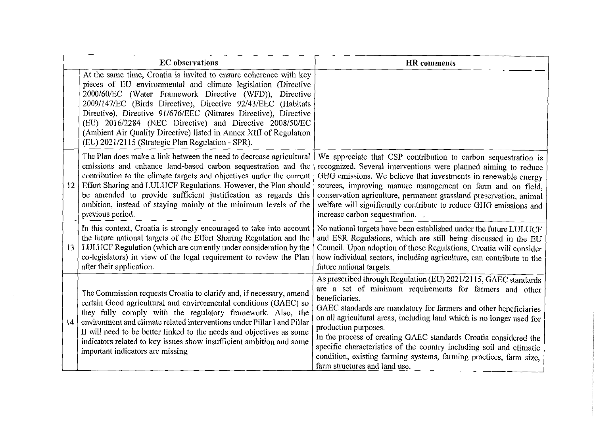|    | <b>EC</b> observations                                                                                                                                                                                                                                                                                                                                                                                                                                                                                                  | <b>HR</b> comments                                                                                                                                                                                                                                                                                                                                                                                                                                                                                                                                                  |
|----|-------------------------------------------------------------------------------------------------------------------------------------------------------------------------------------------------------------------------------------------------------------------------------------------------------------------------------------------------------------------------------------------------------------------------------------------------------------------------------------------------------------------------|---------------------------------------------------------------------------------------------------------------------------------------------------------------------------------------------------------------------------------------------------------------------------------------------------------------------------------------------------------------------------------------------------------------------------------------------------------------------------------------------------------------------------------------------------------------------|
|    | At the same time, Croatia is invited to ensure coherence with key<br>pieces of EU environmental and climate legislation (Directive<br>2000/60/EC (Water Framework Directive (WFD)), Directive<br>2009/147/EC (Birds Directive), Directive 92/43/EEC (Habitats<br>Directive), Directive 91/676/EEC (Nitrates Directive), Directive<br>(EU) 2016/2284 (NEC Directive) and Directive 2008/50/EC<br>(Ambient Air Quality Directive) listed in Annex XIII of Regulation<br>(EU) 2021/2115 (Strategic Plan Regulation - SPR). |                                                                                                                                                                                                                                                                                                                                                                                                                                                                                                                                                                     |
| 12 | The Plan does make a link between the need to decrease agricultural<br>emissions and enhance land-based carbon sequestration and the<br>contribution to the climate targets and objectives under the current<br>Effort Sharing and LULUCF Regulations. However, the Plan should<br>be amended to provide sufficient justification as regards this<br>ambition, instead of staying mainly at the minimum levels of the<br>previous period.                                                                               | We appreciate that CSP contribution to carbon sequestration is<br>recognized. Several interventions were planned aiming to reduce<br>GHG emissions. We believe that investments in renewable energy<br>sources, improving manure management on farm and on field.<br>conservation agriculture, permanent grassland preservation, animal<br>welfare will significantly contribute to reduce GHG emissions and<br>increase carbon sequestration.                                                                                                                      |
| 13 | In this context, Croatia is strongly encouraged to take into account<br>the future national targets of the Effort Sharing Regulation and the<br>LULUCF Regulation (which are currently under consideration by the<br>co-legislators) in view of the legal requirement to review the Plan<br>after their application.                                                                                                                                                                                                    | No national targets have been established under the future LULUCF<br>and ESR Regulations, which are still being discussed in the EU<br>Council. Upon adoption of those Regulations, Croatia will consider<br>how individual sectors, including agriculture, can contribute to the<br>future national targets.                                                                                                                                                                                                                                                       |
| 14 | The Commission requests Croatia to clarify and, if necessary, amend<br>certain Good agricultural and environmental conditions (GAEC) so<br>they fully comply with the regulatory framework. Also, the<br>environment and climate related interventions under Pillar I and Pillar<br>If will need to be better linked to the needs and objectives as some<br>indicators related to key issues show insufficient ambition and some<br>important indicators are missing                                                    | As prescribed through Regulation (EU) 2021/2115, GAEC standards<br>are a set of minimum requirements for farmers and other<br>beneficiaries.<br>GAEC standards are mandatory for farmers and other beneficiaries<br>on all agricultural areas, including land which is no longer used for<br>production purposes.<br>In the process of creating GAEC standards Croatia considered the<br>specific characteristics of the country including soil and climatic<br>condition, existing farming systems, farming practices, farm size,<br>farm structures and land use. |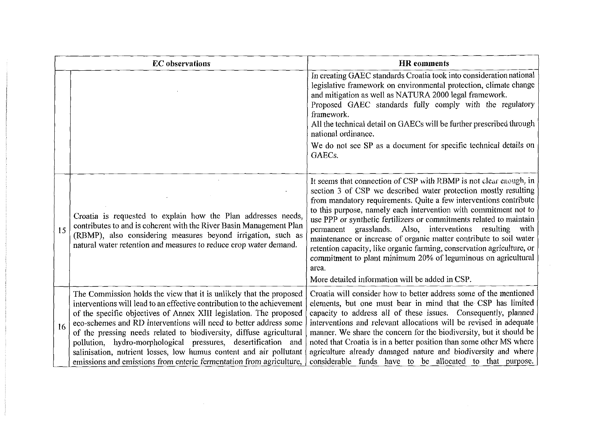|    | <b>EC</b> observations                                                                                                                                                                                                                                                                                                                                                                                                                                                                                                                                                         | <b>HR</b> comments                                                                                                                                                                                                                                                                                                                                                                                                                                                                                                                                                                                                                                                                            |
|----|--------------------------------------------------------------------------------------------------------------------------------------------------------------------------------------------------------------------------------------------------------------------------------------------------------------------------------------------------------------------------------------------------------------------------------------------------------------------------------------------------------------------------------------------------------------------------------|-----------------------------------------------------------------------------------------------------------------------------------------------------------------------------------------------------------------------------------------------------------------------------------------------------------------------------------------------------------------------------------------------------------------------------------------------------------------------------------------------------------------------------------------------------------------------------------------------------------------------------------------------------------------------------------------------|
|    |                                                                                                                                                                                                                                                                                                                                                                                                                                                                                                                                                                                | In creating GAEC standards Croatia took into consideration national<br>legislative framework on environmental protection, climate change<br>and mitigation as well as NATURA 2000 legal framework.<br>Proposed GAEC standards fully comply with the regulatory<br>framework.<br>All the technical detail on GAECs will be further prescribed through<br>national ordinance.<br>We do not see SP as a document for specific technical details on<br>GAEC <sub>s</sub> .                                                                                                                                                                                                                        |
| 15 | Croatia is requested to explain how the Plan addresses needs,<br>contributes to and is coherent with the River Basin Management Plan<br>(RBMP), also considering measures beyond irrigation, such as<br>natural water retention and measures to reduce crop water demand.                                                                                                                                                                                                                                                                                                      | It seems that connection of CSP with RBMP is not clear enough, in<br>section 3 of CSP we described water protection mostly resulting<br>from mandatory requirements. Quite a few interventions contribute<br>to this purpose, namely each intervention with commitment not to<br>use PPP or synthetic fertilizers or commitments related to maintain<br>permanent grasslands. Also, interventions resulting with<br>maintenance or increase of organic matter contribute to soil water<br>retention capacity, like organic farming, conservation agriculture, or<br>commitment to plant minimum 20% of leguminous on agricultural<br>area.<br>More detailed information will be added in CSP. |
| 16 | The Commission holds the view that it is unlikely that the proposed<br>interventions will lead to an effective contribution to the achievement<br>of the specific objectives of Annex XIII legislation. The proposed<br>eco-schemes and RD interventions will need to better address some<br>of the pressing needs related to biodiversity, diffuse agricultural<br>pollution, hydro-morphological pressures, desertification and<br>salinisation, nutrient losses, low humus content and air pollutant<br>emissions and emissions from enteric fermentation from agriculture, | Croatia will consider how to better address some of the mentioned<br>elements, but one must bear in mind that the CSP has limited<br>capacity to address all of these issues. Consequently, planned<br>interventions and relevant allocations will be revised in adequate<br>manner. We share the concern for the biodiversity, but it should be<br>noted that Croatia is in a better position than some other MS where<br>agriculture already damaged nature and biodiversity and where<br>considerable funds have to be allocated to that purpose.                                                                                                                                          |

 $\mathcal{L}^{\text{max}}_{\text{max}}$  and  $\mathcal{L}^{\text{max}}_{\text{max}}$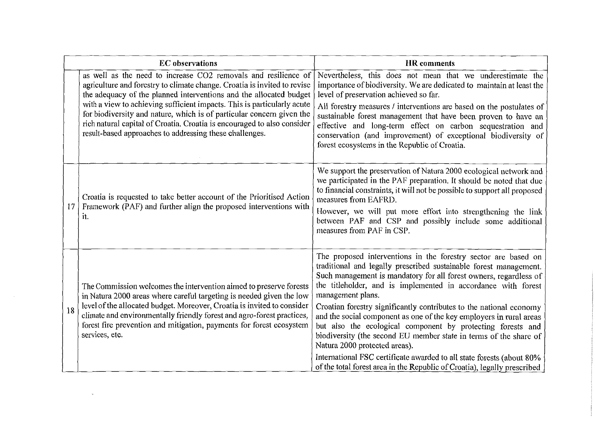|    | <b>EC</b> observations                                                                                                                                                                                                                                                                                                                                                                                                                                                                                     | <b>HR</b> comments                                                                                                                                                                                                                                                                                                                                                                                                                                                                                                                                                                                                                                                                                                                                                     |
|----|------------------------------------------------------------------------------------------------------------------------------------------------------------------------------------------------------------------------------------------------------------------------------------------------------------------------------------------------------------------------------------------------------------------------------------------------------------------------------------------------------------|------------------------------------------------------------------------------------------------------------------------------------------------------------------------------------------------------------------------------------------------------------------------------------------------------------------------------------------------------------------------------------------------------------------------------------------------------------------------------------------------------------------------------------------------------------------------------------------------------------------------------------------------------------------------------------------------------------------------------------------------------------------------|
|    | as well as the need to increase CO2 removals and resilience of<br>agriculture and forestry to climate change. Croatia is invited to revise<br>the adequacy of the planned interventions and the allocated budget<br>with a view to achieving sufficient impacts. This is particularly acute<br>for biodiversity and nature, which is of particular concern given the<br>rich natural capital of Croatia. Croatia is encouraged to also consider<br>result-based approaches to addressing these challenges. | Nevertheless, this does not mean that we underestimate the<br>importance of biodiversity. We are dedicated to maintain at least the<br>level of preservation achieved so far.<br>All forestry measures / interventions are based on the postulates of<br>sustainable forest management that have been proven to have an<br>effective and long-term effect on carbon sequestration and<br>conservation (and improvement) of exceptional biodiversity of<br>forest ecosystems in the Republic of Croatia.                                                                                                                                                                                                                                                                |
| 17 | Croatia is requested to take better account of the Prioritised Action<br>Framework (PAF) and further align the proposed interventions with<br>it.                                                                                                                                                                                                                                                                                                                                                          | We support the preservation of Natura 2000 ecological network and<br>we participated in the PAF preparation. It should be noted that due<br>to financial constraints, it will not be possible to support all proposed<br>measures from EAFRD.<br>However, we will put more effort into strengthening the link<br>between PAF and CSP and possibly include some additional<br>measures from PAF in CSP.                                                                                                                                                                                                                                                                                                                                                                 |
| 18 | The Commission welcomes the intervention aimed to preserve forests<br>in Natura 2000 areas where careful targeting is needed given the low<br>level of the allocated budget. Moreover, Croatia is invited to consider<br>climate and environmentally friendly forest and agro-forest practices,<br>forest fire prevention and mitigation, payments for forest ecosystem<br>services, etc.                                                                                                                  | The proposed interventions in the forestry sector are based on<br>traditional and legally prescribed sustainable forest management.<br>Such management is mandatory for all forest owners, regardless of<br>the titleholder, and is implemented in accordance with forest<br>management plans.<br>Croatian forestry significantly contributes to the national economy<br>and the social component as one of the key employers in rural areas<br>but also the ecological component by protecting forests and<br>biodiversity (the second EU member state in terms of the share of<br>Natura 2000 protected areas).<br>International FSC certificate awarded to all state forests (about 80%<br>of the total forest area in the Republic of Croatia), legally prescribed |

 $\label{eq:2.1} \mathcal{L}_{\mathcal{A}}(x) = \mathcal{L}_{\mathcal{A}}(x) \mathcal{L}_{\mathcal{A}}(x) = \mathcal{L}_{\mathcal{A}}(x) \mathcal{L}_{\mathcal{A}}(x)$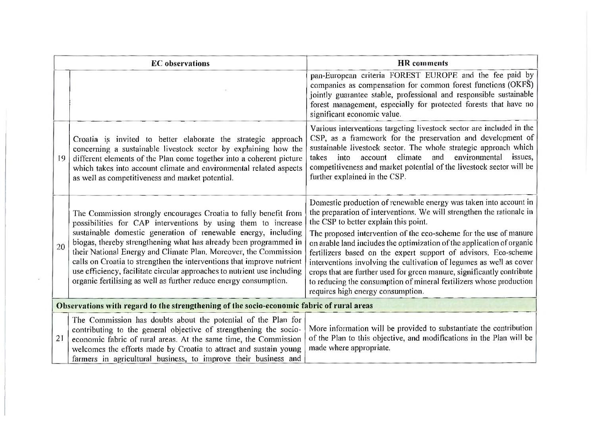|    | <b>EC</b> observations                                                                                                                                                                                                                                                                                                                                                                                                                                                                                                                                                  | <b>HR</b> comments                                                                                                                                                                                                                                                                                                                                                                                                                                                                                                                                                                                                                                                 |
|----|-------------------------------------------------------------------------------------------------------------------------------------------------------------------------------------------------------------------------------------------------------------------------------------------------------------------------------------------------------------------------------------------------------------------------------------------------------------------------------------------------------------------------------------------------------------------------|--------------------------------------------------------------------------------------------------------------------------------------------------------------------------------------------------------------------------------------------------------------------------------------------------------------------------------------------------------------------------------------------------------------------------------------------------------------------------------------------------------------------------------------------------------------------------------------------------------------------------------------------------------------------|
|    |                                                                                                                                                                                                                                                                                                                                                                                                                                                                                                                                                                         | pan-European criteria FOREST EUROPE and the fee paid by<br>companies as compensation for common forest functions (OKFS)<br>jointly guarantee stable, professional and responsible sustainable<br>forest management, especially for protected forests that have no<br>significant economic value.                                                                                                                                                                                                                                                                                                                                                                   |
| 19 | Croatia is invited to better elaborate the strategic approach<br>concerning a sustainable livestock sector by explaining how the<br>different elements of the Plan come together into a coherent picture<br>which takes into account climate and environmental related aspects<br>as well as competitiveness and market potential.                                                                                                                                                                                                                                      | Various interventions targeting livestock sector are included in the<br>CSP, as a framework for the preservation and development of<br>sustainable livestock sector. The whole strategic approach which<br>account climate and environmental issues,<br>into<br>takes<br>competitiveness and market potential of the livestock sector will be<br>further explained in the CSP.                                                                                                                                                                                                                                                                                     |
| 20 | The Commission strongly encourages Croatia to fully benefit from<br>possibilities for CAP interventions by using them to increase<br>sustainable domestic generation of renewable energy, including<br>biogas, thereby strengthening what has already been programmed in<br>their National Energy and Climate Plan. Moreover, the Commission<br>calls on Croatia to strengthen the interventions that improve nutrient<br>use efficiency, facilitate circular approaches to nutrient use including<br>organic fertilising as well as further reduce energy consumption. | Domestic production of renewable energy was taken into account in<br>the preparation of interventions. We will strengthen the rationale in<br>the CSP to better explain this point.<br>The proposed intervention of the eco-scheme for the use of manure<br>on arable land includes the optimization of the application of organic<br>fertilizers based on the expert support of advisors. Eco-scheme<br>interventions involving the cultivation of legumes as well as cover<br>crops that are further used for green manure, significantly contribute<br>to reducing the consumption of mineral fertilizers whose production<br>requires high energy consumption. |
|    | Observations with regard to the strengthening of the socio-economic fabric of rural areas                                                                                                                                                                                                                                                                                                                                                                                                                                                                               |                                                                                                                                                                                                                                                                                                                                                                                                                                                                                                                                                                                                                                                                    |
| 21 | The Commission has doubts about the potential of the Plan for<br>contributing to the general objective of strengthening the socio-<br>economic fabric of rural areas. At the same time, the Commission<br>welcomes the efforts made by Croatia to attract and sustain young<br>farmers in agricultural business, to improve their business and                                                                                                                                                                                                                          | More information will be provided to substantiate the contribution<br>of the Plan to this objective, and modifications in the Plan will be<br>made where appropriate.                                                                                                                                                                                                                                                                                                                                                                                                                                                                                              |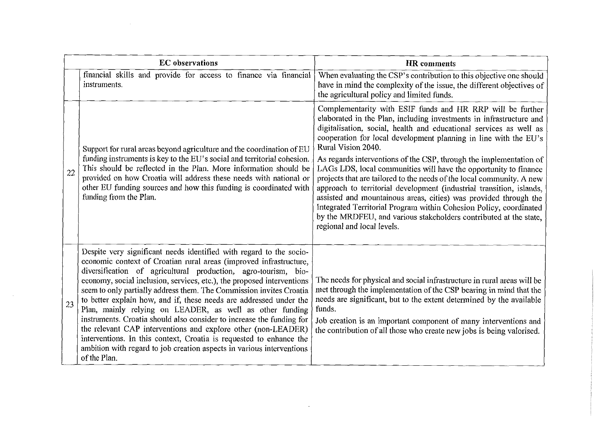| <b>EC</b> observations |                                                                                                                                                                                                                                                                                                                                                                                                                                                                                                                                                                                                                                                                                                                                                                                                          | <b>HR</b> comments                                                                                                                                                                                                                                                                                                                                                                                                                                                                                                                                                                                                                                                                                                                                                                                                                        |
|------------------------|----------------------------------------------------------------------------------------------------------------------------------------------------------------------------------------------------------------------------------------------------------------------------------------------------------------------------------------------------------------------------------------------------------------------------------------------------------------------------------------------------------------------------------------------------------------------------------------------------------------------------------------------------------------------------------------------------------------------------------------------------------------------------------------------------------|-------------------------------------------------------------------------------------------------------------------------------------------------------------------------------------------------------------------------------------------------------------------------------------------------------------------------------------------------------------------------------------------------------------------------------------------------------------------------------------------------------------------------------------------------------------------------------------------------------------------------------------------------------------------------------------------------------------------------------------------------------------------------------------------------------------------------------------------|
|                        | financial skills and provide for access to finance via financial<br>instruments.                                                                                                                                                                                                                                                                                                                                                                                                                                                                                                                                                                                                                                                                                                                         | When evaluating the CSP's contribution to this objective one should<br>have in mind the complexity of the issue, the different objectives of<br>the agricultural policy and limited funds.                                                                                                                                                                                                                                                                                                                                                                                                                                                                                                                                                                                                                                                |
| 22                     | Support for rural areas beyond agriculture and the coordination of EU<br>funding instruments is key to the EU's social and territorial cohesion.<br>This should be reflected in the Plan. More information should be<br>provided on how Croatia will address these needs with national or<br>other EU funding sources and how this funding is coordinated with<br>funding from the Plan.                                                                                                                                                                                                                                                                                                                                                                                                                 | Complementarity with ESIF funds and HR RRP will be further<br>elaborated in the Plan, including investments in infrastructure and<br>digitalisation, social, health and educational services as well as<br>cooperation for local development planning in line with the EU's<br>Rural Vision 2040.<br>As regards interventions of the CSP, through the implementation of<br>LAGs LDS, local communities will have the opportunity to finance<br>projects that are tailored to the needs of the local community. A new<br>approach to territorial development (industrial transition, islands,<br>assisted and mountainous areas, cities) was provided through the<br>Integrated Territorial Program within Cohesion Policy, coordinated<br>by the MRDFEU, and various stakeholders contributed at the state,<br>regional and local levels. |
| 23                     | Despite very significant needs identified with regard to the socio-<br>economic context of Croatian rural areas (improved infrastructure,<br>diversification of agricultural production, agro-tourism, bio-<br>economy, social inclusion, services, etc.), the proposed interventions<br>seem to only partially address them. The Commission invites Croatia<br>to better explain how, and if, these needs are addressed under the<br>Plan, mainly relying on LEADER, as well as other funding<br>instruments. Croatia should also consider to increase the funding for<br>the relevant CAP interventions and explore other (non-LEADER)<br>interventions. In this context, Croatia is requested to enhance the<br>ambition with regard to job creation aspects in various interventions<br>of the Plan. | The needs for physical and social infrastructure in rural areas will be<br>met through the implementation of the CSP bearing in mind that the<br>needs are significant, but to the extent determined by the available<br>funds.<br>Job creation is an important component of many interventions and<br>the contribution of all those who create new jobs is being valorised.                                                                                                                                                                                                                                                                                                                                                                                                                                                              |

 $\label{eq:2.1} \frac{1}{\sqrt{2}}\int_{\mathbb{R}^3}\frac{1}{\sqrt{2}}\left(\frac{1}{\sqrt{2}}\right)^2\left(\frac{1}{\sqrt{2}}\right)^2\left(\frac{1}{\sqrt{2}}\right)^2\left(\frac{1}{\sqrt{2}}\right)^2\left(\frac{1}{\sqrt{2}}\right)^2\left(\frac{1}{\sqrt{2}}\right)^2.$ 

 $\label{eq:2.1} \frac{1}{\sqrt{2}}\sum_{i=1}^n\frac{1}{\sqrt{2}}\sum_{i=1}^n\frac{1}{\sqrt{2}}\sum_{i=1}^n\frac{1}{\sqrt{2}}\sum_{i=1}^n\frac{1}{\sqrt{2}}\sum_{i=1}^n\frac{1}{\sqrt{2}}\sum_{i=1}^n\frac{1}{\sqrt{2}}\sum_{i=1}^n\frac{1}{\sqrt{2}}\sum_{i=1}^n\frac{1}{\sqrt{2}}\sum_{i=1}^n\frac{1}{\sqrt{2}}\sum_{i=1}^n\frac{1}{\sqrt{2}}\sum_{i=1}^n\frac$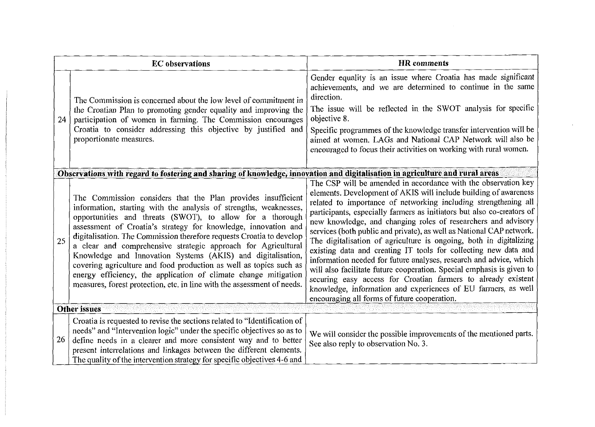|    | <b>EC</b> observations                                                                                                                                                                                                                                                                                                                                                                                                                                                                                                                                                                                                                                                                       | <b>HR</b> comments                                                                                                                                                                                                                                                                                                                                                                                                                                                                                                                                                                                                                                                                                                                                                                                                                                                                                 |  |  |
|----|----------------------------------------------------------------------------------------------------------------------------------------------------------------------------------------------------------------------------------------------------------------------------------------------------------------------------------------------------------------------------------------------------------------------------------------------------------------------------------------------------------------------------------------------------------------------------------------------------------------------------------------------------------------------------------------------|----------------------------------------------------------------------------------------------------------------------------------------------------------------------------------------------------------------------------------------------------------------------------------------------------------------------------------------------------------------------------------------------------------------------------------------------------------------------------------------------------------------------------------------------------------------------------------------------------------------------------------------------------------------------------------------------------------------------------------------------------------------------------------------------------------------------------------------------------------------------------------------------------|--|--|
| 24 | The Commission is concerned about the low level of commitment in<br>the Croatian Plan to promoting gender equality and improving the<br>participation of women in farming. The Commission encourages<br>Croatia to consider addressing this objective by justified and<br>proportionate measures.                                                                                                                                                                                                                                                                                                                                                                                            | Gender equality is an issue where Croatia has made significant<br>achievements, and we are determined to continue in the same<br>direction.<br>The issue will be reflected in the SWOT analysis for specific<br>objective 8.<br>Specific programmes of the knowledge transfer intervention will be<br>aimed at women. LAGs and National CAP Network will also be<br>encouraged to focus their activities on working with rural women.                                                                                                                                                                                                                                                                                                                                                                                                                                                              |  |  |
|    | Observations with regard to fostering and sharing of knowledge, innovation and digitalisation in agriculture and rural areas                                                                                                                                                                                                                                                                                                                                                                                                                                                                                                                                                                 |                                                                                                                                                                                                                                                                                                                                                                                                                                                                                                                                                                                                                                                                                                                                                                                                                                                                                                    |  |  |
| 25 | The Commission considers that the Plan provides insufficient<br>information, starting with the analysis of strengths, weaknesses,<br>opportunities and threats (SWOT), to allow for a thorough<br>assessment of Croatia's strategy for knowledge, innovation and<br>digitalisation. The Commission therefore requests Croatia to develop<br>a clear and comprehensive strategic approach for Agricultural<br>Knowledge and Innovation Systems (AKIS) and digitalisation,<br>covering agriculture and food production as well as topics such as<br>energy efficiency, the application of climate change mitigation<br>measures, forest protection, etc. in line with the assessment of needs. | The CSP will be amended in accordance with the observation key<br>elements. Development of AKIS will include building of awareness<br>related to importance of networking including strengthening all<br>participants, especially farmers as initiators but also co-creators of<br>new knowledge, and changing roles of researchers and advisory<br>services (both public and private), as well as National CAP network.<br>The digitalisation of agriculture is ongoing, both in digitalizing<br>existing data and creating IT tools for collecting new data and<br>information needed for future analyses, research and advice, which<br>will also facilitate future cooperation. Special emphasis is given to<br>securing easy access for Croatian farmers to already existent<br>knowledge, information and experiences of EU farmers, as well<br>encouraging all forms of future cooperation. |  |  |
|    | <b>Other issues</b>                                                                                                                                                                                                                                                                                                                                                                                                                                                                                                                                                                                                                                                                          |                                                                                                                                                                                                                                                                                                                                                                                                                                                                                                                                                                                                                                                                                                                                                                                                                                                                                                    |  |  |
| 26 | Croatia is requested to revise the sections related to "Identification of<br>needs" and "Intervention logic" under the specific objectives so as to<br>define needs in a clearer and more consistent way and to better<br>present interrelations and linkages between the different elements.<br>The quality of the intervention strategy for specific objectives 4-6 and                                                                                                                                                                                                                                                                                                                    | We will consider the possible improvements of the mentioned parts.<br>See also reply to observation No. 3.                                                                                                                                                                                                                                                                                                                                                                                                                                                                                                                                                                                                                                                                                                                                                                                         |  |  |

 $\mathcal{L}(\mathcal{L}(\mathcal{L}))$  and  $\mathcal{L}(\mathcal{L}(\mathcal{L}))$  . The contribution of  $\mathcal{L}(\mathcal{L})$ 

 $\mathcal{L}^{\text{max}}_{\text{max}}$  , where  $\mathcal{L}^{\text{max}}_{\text{max}}$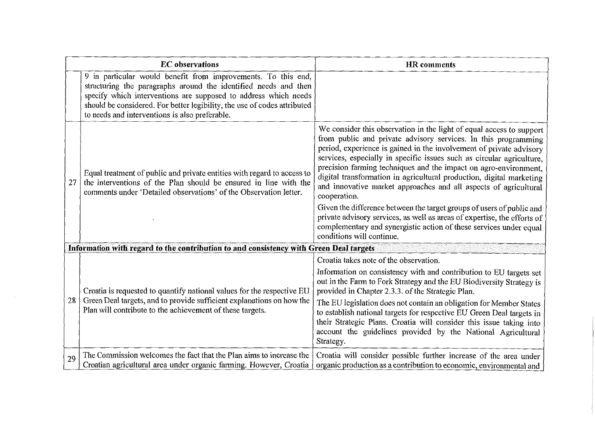| <b>EC</b> observations                                                                 |                                                                                                                                                                                                                                                                                                                                   | HR comments                                                                                                                                                                                                                                                                                                                                                                                                                                                                                                                                                                                                                                                                                                                                                                    |  |  |
|----------------------------------------------------------------------------------------|-----------------------------------------------------------------------------------------------------------------------------------------------------------------------------------------------------------------------------------------------------------------------------------------------------------------------------------|--------------------------------------------------------------------------------------------------------------------------------------------------------------------------------------------------------------------------------------------------------------------------------------------------------------------------------------------------------------------------------------------------------------------------------------------------------------------------------------------------------------------------------------------------------------------------------------------------------------------------------------------------------------------------------------------------------------------------------------------------------------------------------|--|--|
|                                                                                        | 9 in particular would benefit from improvements. To this end,<br>structuring the paragraphs around the identified needs and then<br>specify which interventions are supposed to address which needs<br>should be considered. For better legibility, the use of codes attributed<br>to needs and interventions is also preferable. |                                                                                                                                                                                                                                                                                                                                                                                                                                                                                                                                                                                                                                                                                                                                                                                |  |  |
| 27                                                                                     | Equal treatment of public and private entities with regard to access to<br>the interventions of the Plan should be ensured in line with the<br>comments under 'Detailed observations' of the Observation letter.                                                                                                                  | We consider this observation in the light of equal access to support<br>from public and private advisory services. In this programming<br>period, experience is gained in the involvement of private advisory<br>services, especially in specific issues such as circular agriculture.<br>precision farming techniques and the impact on agro-environment,<br>digital transformation in agricultural production, digital marketing<br>and innovative market approaches and all aspects of agricultural<br>cooperation.<br>Given the difference between the target groups of users of public and<br>private advisory services, as well as areas of expertise, the efforts of<br>complementary and synergistic action of these services under equal<br>conditions will continue. |  |  |
| Information with regard to the contribution to and consistency with Green Deal targets |                                                                                                                                                                                                                                                                                                                                   |                                                                                                                                                                                                                                                                                                                                                                                                                                                                                                                                                                                                                                                                                                                                                                                |  |  |
| 28                                                                                     | Croatia is requested to quantify national values for the respective EU<br>Green Deal targets, and to provide sufficient explanations on how the<br>Plan will contribute to the achievement of these targets.                                                                                                                      | Croatia takes note of the observation.<br>Information on consistency with and contribution to EU targets set<br>out in the Farm to Fork Strategy and the EU Biodiversity Strategy is<br>provided in Chapter 2.3.3. of the Strategic Plan.<br>The EU legislation does not contain an obligation for Member States<br>to establish national targets for respective EU Green Deal targets in<br>their Strategic Plans. Croatia will consider this issue taking into<br>account the guidelines provided by the National Agricultural<br>Strategy.                                                                                                                                                                                                                                  |  |  |
| 29                                                                                     | The Commission welcomes the fact that the Plan aims to increase the<br>Croatian agricultural area under organic farming. However, Croatia                                                                                                                                                                                         | Croatia will consider possible further increase of the area under<br>organic production as a contribution to economic, environmental and                                                                                                                                                                                                                                                                                                                                                                                                                                                                                                                                                                                                                                       |  |  |

 $\sim 10$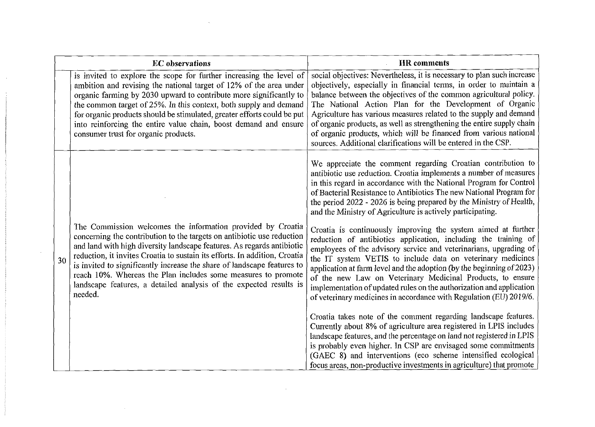| <b>EC</b> observations |                                                                                                                                                                                                                                                                                                                                                                                                                                                                                                                            | <b>HR</b> comments                                                                                                                                                                                                                                                                                                                                                                                                                                                                                                                                                |
|------------------------|----------------------------------------------------------------------------------------------------------------------------------------------------------------------------------------------------------------------------------------------------------------------------------------------------------------------------------------------------------------------------------------------------------------------------------------------------------------------------------------------------------------------------|-------------------------------------------------------------------------------------------------------------------------------------------------------------------------------------------------------------------------------------------------------------------------------------------------------------------------------------------------------------------------------------------------------------------------------------------------------------------------------------------------------------------------------------------------------------------|
|                        | is invited to explore the scope for further increasing the level of<br>ambition and revising the national target of 12% of the area under<br>organic farming by 2030 upward to contribute more significantly to<br>the common target of 25%. In this context, both supply and demand<br>for organic products should be stimulated, greater efforts could be put<br>into reinforcing the entire value chain, boost demand and ensure<br>consumer trust for organic products.                                                | social objectives: Nevertheless, it is necessary to plan such increase<br>objectively, especially in financial terms, in order to maintain a<br>balance between the objectives of the common agricultural policy.<br>The National Action Plan for the Development of Organic<br>Agriculture has various measures related to the supply and demand<br>of organic products, as well as strengthening the entire supply chain<br>of organic products, which will be financed from various national<br>sources. Additional clarifications will be entered in the CSP. |
|                        |                                                                                                                                                                                                                                                                                                                                                                                                                                                                                                                            | We appreciate the comment regarding Croatian contribution to<br>antibiotic use reduction. Croatia implements a number of measures<br>in this regard in accordance with the National Program for Control<br>of Bacterial Resistance to Antibiotics The new National Program for<br>the period 2022 - 2026 is being prepared by the Ministry of Health,<br>and the Ministry of Agriculture is actively participating.                                                                                                                                               |
| 30                     | The Commission welcomes the information provided by Croatia<br>concerning the contribution to the targets on antibiotic use reduction<br>and land with high diversity landscape features. As regards antibiotic<br>reduction, it invites Croatia to sustain its efforts. In addition, Croatia<br>is invited to significantly increase the share of landscape features to<br>reach 10%. Whereas the Plan includes some measures to promote<br>landscape features, a detailed analysis of the expected results is<br>needed. | Croatia is continuously improving the system aimed at further<br>reduction of antibiotics application, including the training of<br>employees of the advisory service and veterinarians, upgrading of<br>the IT system VETIS to include data on veterinary medicines<br>application at farm level and the adoption (by the beginning of 2023)<br>of the new Law on Veterinary Medicinal Products, to ensure<br>implementation of updated rules on the authorization and application<br>of veterinary medicines in accordance with Regulation (EU) 2019/6.         |
|                        |                                                                                                                                                                                                                                                                                                                                                                                                                                                                                                                            | Croatia takes note of the comment regarding landscape features.<br>Currently about 8% of agriculture area registered in LPIS includes<br>landscape features, and the percentage on land not registered in LPIS<br>is probably even higher. In CSP are envisaged some commitments<br>(GAEC 8) and interventions (eco scheme intensified ecological<br>focus areas, non-productive investments in agriculture) that promote                                                                                                                                         |

 $\mathcal{L}^{\mathcal{L}}(\mathcal{L}^{\mathcal{L}})$  and  $\mathcal{L}^{\mathcal{L}}(\mathcal{L}^{\mathcal{L}})$  . In the contract of the contract of  $\mathcal{L}^{\mathcal{L}}$ 

 $\label{eq:2.1} \frac{1}{\sqrt{2}}\left(\frac{1}{\sqrt{2}}\right)^{2} \left(\frac{1}{\sqrt{2}}\right)^{2} \left(\frac{1}{\sqrt{2}}\right)^{2} \left(\frac{1}{\sqrt{2}}\right)^{2} \left(\frac{1}{\sqrt{2}}\right)^{2} \left(\frac{1}{\sqrt{2}}\right)^{2} \left(\frac{1}{\sqrt{2}}\right)^{2} \left(\frac{1}{\sqrt{2}}\right)^{2} \left(\frac{1}{\sqrt{2}}\right)^{2} \left(\frac{1}{\sqrt{2}}\right)^{2} \left(\frac{1}{\sqrt{2}}\right)^{2} \left(\$ 

 $\label{eq:2.1} \left\langle \hat{H}_{\mu\nu} \right\rangle = \left\langle \hat{H}_{\mu\nu} \right\rangle = \left\langle \hat{H}_{\mu\nu} \right\rangle = \left\langle \hat{H}_{\mu\nu} \right\rangle = \left\langle \hat{H}_{\mu\nu} \right\rangle = \left\langle \hat{H}_{\mu\nu} \right\rangle$ 

 $\label{eq:3.1} \frac{1}{\sqrt{2}}\int_{0}^{\infty}\frac{1}{\sqrt{2\pi}}\left(\frac{1}{\sqrt{2\pi}}\right)^{2}d\mu_{\rm{eff}}$